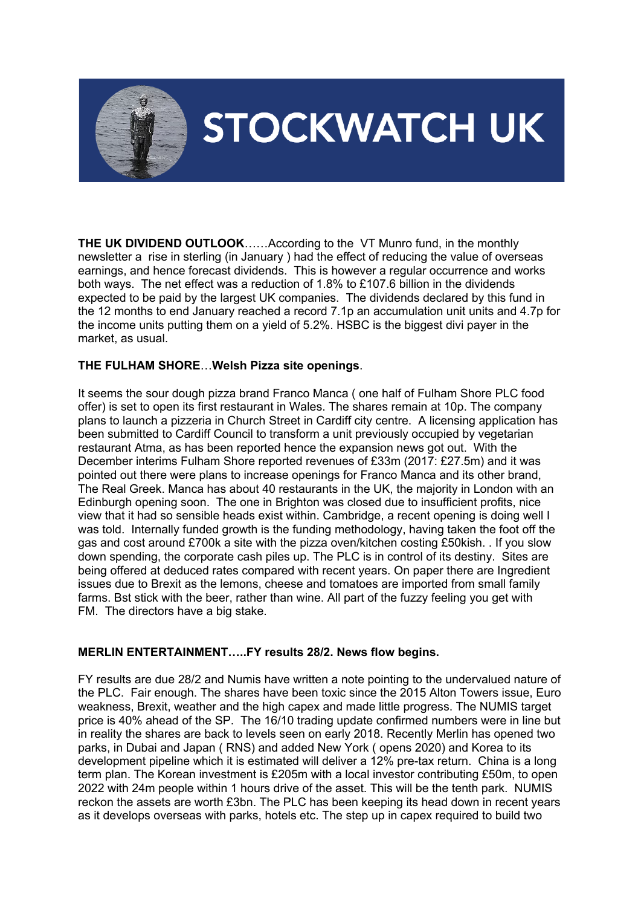

# **STOCKWATCH UK**

**THE UK DIVIDEND OUTLOOK**……According to the VT Munro fund, in the monthly newsletter a rise in sterling (in January ) had the effect of reducing the value of overseas earnings, and hence forecast dividends. This is however a regular occurrence and works both ways. The net effect was a reduction of 1.8% to £107.6 billion in the dividends expected to be paid by the largest UK companies. The dividends declared by this fund in the 12 months to end January reached a record 7.1p an accumulation unit units and 4.7p for the income units putting them on a yield of 5.2%. HSBC is the biggest divi payer in the market, as usual.

## **THE FULHAM SHORE**…**Welsh Pizza site openings**.

It seems the sour dough pizza brand Franco Manca ( one half of Fulham Shore PLC food offer) is set to open its first restaurant in Wales. The shares remain at 10p. The company plans to launch a pizzeria in Church Street in Cardiff city centre. A licensing application has been submitted to Cardiff Council to transform a unit previously occupied by vegetarian restaurant Atma, as has been reported hence the expansion news got out. With the December interims Fulham Shore reported revenues of £33m (2017: £27.5m) and it was pointed out there were plans to increase openings for Franco Manca and its other brand, The Real Greek. Manca has about 40 restaurants in the UK, the majority in London with an Edinburgh opening soon. The one in Brighton was closed due to insufficient profits, nice view that it had so sensible heads exist within. Cambridge, a recent opening is doing well I was told. Internally funded growth is the funding methodology, having taken the foot off the gas and cost around £700k a site with the pizza oven/kitchen costing £50kish. . If you slow down spending, the corporate cash piles up. The PLC is in control of its destiny. Sites are being offered at deduced rates compared with recent years. On paper there are Ingredient issues due to Brexit as the lemons, cheese and tomatoes are imported from small family farms. Bst stick with the beer, rather than wine. All part of the fuzzy feeling you get with FM. The directors have a big stake.

## **MERLIN ENTERTAINMENT…..FY results 28/2. News flow begins.**

FY results are due 28/2 and Numis have written a note pointing to the undervalued nature of the PLC. Fair enough. The shares have been toxic since the 2015 Alton Towers issue, Euro weakness, Brexit, weather and the high capex and made little progress. The NUMIS target price is 40% ahead of the SP. The 16/10 trading update confirmed numbers were in line but in reality the shares are back to levels seen on early 2018. Recently Merlin has opened two parks, in Dubai and Japan ( RNS) and added New York ( opens 2020) and Korea to its development pipeline which it is estimated will deliver a 12% pre-tax return. China is a long term plan. The Korean investment is £205m with a local investor contributing £50m, to open 2022 with 24m people within 1 hours drive of the asset. This will be the tenth park. NUMIS reckon the assets are worth £3bn. The PLC has been keeping its head down in recent years as it develops overseas with parks, hotels etc. The step up in capex required to build two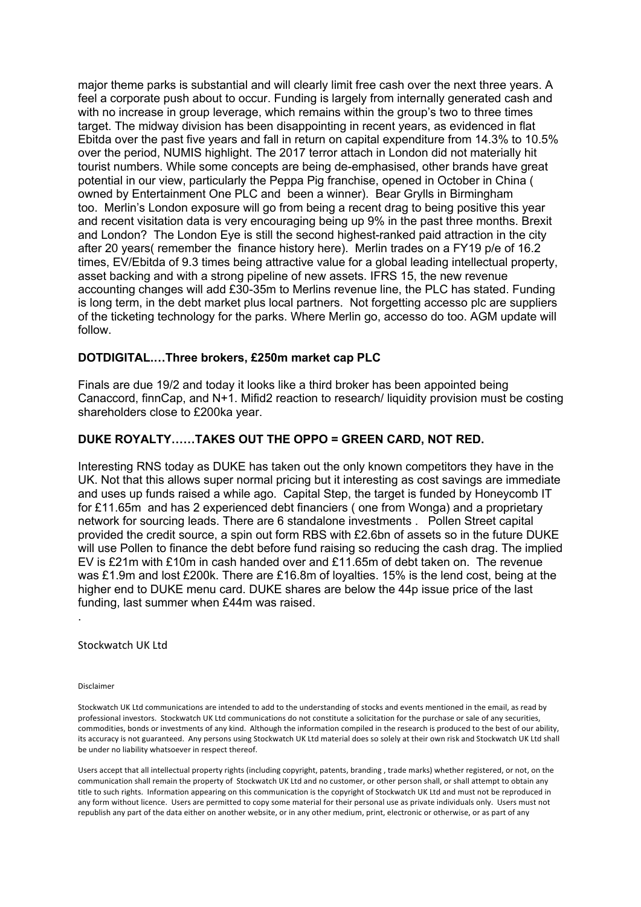major theme parks is substantial and will clearly limit free cash over the next three years. A feel a corporate push about to occur. Funding is largely from internally generated cash and with no increase in group leverage, which remains within the group's two to three times target. The midway division has been disappointing in recent years, as evidenced in flat Ebitda over the past five years and fall in return on capital expenditure from 14.3% to 10.5% over the period, NUMIS highlight. The 2017 terror attach in London did not materially hit tourist numbers. While some concepts are being de-emphasised, other brands have great potential in our view, particularly the Peppa Pig franchise, opened in October in China ( owned by Entertainment One PLC and been a winner). Bear Grylls in Birmingham too. Merlin's London exposure will go from being a recent drag to being positive this year and recent visitation data is very encouraging being up 9% in the past three months. Brexit and London? The London Eye is still the second highest-ranked paid attraction in the city after 20 years( remember the finance history here). Merlin trades on a FY19 p/e of 16.2 times, EV/Ebitda of 9.3 times being attractive value for a global leading intellectual property, asset backing and with a strong pipeline of new assets. IFRS 15, the new revenue accounting changes will add £30-35m to Merlins revenue line, the PLC has stated. Funding is long term, in the debt market plus local partners. Not forgetting accesso plc are suppliers of the ticketing technology for the parks. Where Merlin go, accesso do too. AGM update will follow.

#### **DOTDIGITAL.…Three brokers, £250m market cap PLC**

Finals are due 19/2 and today it looks like a third broker has been appointed being Canaccord, finnCap, and N+1. Mifid2 reaction to research/ liquidity provision must be costing shareholders close to £200ka year.

#### **DUKE ROYALTY……TAKES OUT THE OPPO = GREEN CARD, NOT RED.**

Interesting RNS today as DUKE has taken out the only known competitors they have in the UK. Not that this allows super normal pricing but it interesting as cost savings are immediate and uses up funds raised a while ago. Capital Step, the target is funded by Honeycomb IT for £11.65m and has 2 experienced debt financiers ( one from Wonga) and a proprietary network for sourcing leads. There are 6 standalone investments . Pollen Street capital provided the credit source, a spin out form RBS with £2.6bn of assets so in the future DUKE will use Pollen to finance the debt before fund raising so reducing the cash drag. The implied EV is £21m with £10m in cash handed over and £11.65m of debt taken on. The revenue was £1.9m and lost £200k. There are £16.8m of loyalties. 15% is the lend cost, being at the higher end to DUKE menu card. DUKE shares are below the 44p issue price of the last funding, last summer when £44m was raised.

Stockwatch UK Ltd

Disclaimer

.

Stockwatch UK Ltd communications are intended to add to the understanding of stocks and events mentioned in the email, as read by professional investors. Stockwatch UK Ltd communications do not constitute a solicitation for the purchase or sale of any securities, commodities, bonds or investments of any kind. Although the information compiled in the research is produced to the best of our ability, its accuracy is not guaranteed. Any persons using Stockwatch UK Ltd material does so solely at their own risk and Stockwatch UK Ltd shall be under no liability whatsoever in respect thereof.

Users accept that all intellectual property rights (including copyright, patents, branding , trade marks) whether registered, or not, on the communication shall remain the property of Stockwatch UK Ltd and no customer, or other person shall, or shall attempt to obtain any title to such rights. Information appearing on this communication is the copyright of Stockwatch UK Ltd and must not be reproduced in any form without licence. Users are permitted to copy some material for their personal use as private individuals only. Users must not republish any part of the data either on another website, or in any other medium, print, electronic or otherwise, or as part of any